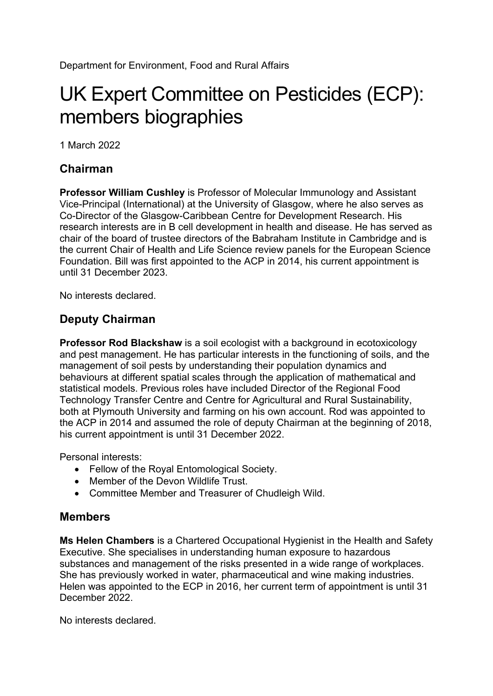## UK Expert Committee on Pesticides (ECP): members biographies

1 March 2022

## **Chairman**

**Professor William Cushley** is Professor of Molecular Immunology and Assistant Vice-Principal (International) at the University of Glasgow, where he also serves as Co-Director of the Glasgow-Caribbean Centre for Development Research. His research interests are in B cell development in health and disease. He has served as chair of the board of trustee directors of the Babraham Institute in Cambridge and is the current Chair of Health and Life Science review panels for the European Science Foundation. Bill was first appointed to the ACP in 2014, his current appointment is until 31 December 2023.

No interests declared.

## **Deputy Chairman**

**Professor Rod Blackshaw** is a soil ecologist with a background in ecotoxicology and pest management. He has particular interests in the functioning of soils, and the management of soil pests by understanding their population dynamics and behaviours at different spatial scales through the application of mathematical and statistical models. Previous roles have included Director of the Regional Food Technology Transfer Centre and Centre for Agricultural and Rural Sustainability, both at Plymouth University and farming on his own account. Rod was appointed to the ACP in 2014 and assumed the role of deputy Chairman at the beginning of 2018, his current appointment is until 31 December 2022.

Personal interests:

- Fellow of the Royal Entomological Society.
- Member of the Devon Wildlife Trust.
- Committee Member and Treasurer of Chudleigh Wild.

## **Members**

**Ms Helen Chambers** is a Chartered Occupational Hygienist in the Health and Safety Executive. She specialises in understanding human exposure to hazardous substances and management of the risks presented in a wide range of workplaces. She has previously worked in water, pharmaceutical and wine making industries. Helen was appointed to the ECP in 2016, her current term of appointment is until 31 December 2022.

No interests declared.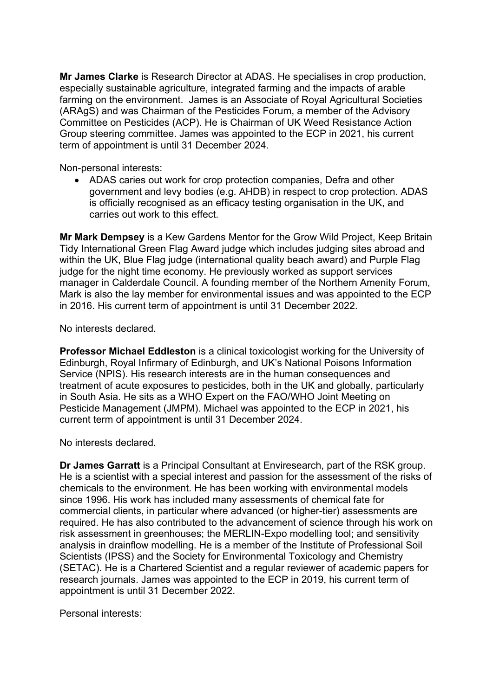**Mr James Clarke** is Research Director at ADAS. He specialises in crop production, especially sustainable agriculture, integrated farming and the impacts of arable farming on the environment. James is an Associate of Royal Agricultural Societies (ARAgS) and was Chairman of the Pesticides Forum, a member of the Advisory Committee on Pesticides (ACP). He is Chairman of UK Weed Resistance Action Group steering committee. James was appointed to the ECP in 2021, his current term of appointment is until 31 December 2024.

Non-personal interests:

• ADAS caries out work for crop protection companies, Defra and other government and levy bodies (e.g. AHDB) in respect to crop protection. ADAS is officially recognised as an efficacy testing organisation in the UK, and carries out work to this effect.

**Mr Mark Dempsey** is a Kew Gardens Mentor for the Grow Wild Project, Keep Britain Tidy International Green Flag Award judge which includes judging sites abroad and within the UK, Blue Flag judge (international quality beach award) and Purple Flag judge for the night time economy. He previously worked as support services manager in Calderdale Council. A founding member of the Northern Amenity Forum, Mark is also the lay member for environmental issues and was appointed to the ECP in 2016. His current term of appointment is until 31 December 2022.

No interests declared.

**Professor Michael Eddleston** is a clinical toxicologist working for the University of Edinburgh, Royal Infirmary of Edinburgh, and UK's National Poisons Information Service (NPIS). His research interests are in the human consequences and treatment of acute exposures to pesticides, both in the UK and globally, particularly in South Asia. He sits as a WHO Expert on the FAO/WHO Joint Meeting on Pesticide Management (JMPM). Michael was appointed to the ECP in 2021, his current term of appointment is until 31 December 2024.

No interests declared.

**Dr James Garratt** is a Principal Consultant at Enviresearch, part of the RSK group. He is a scientist with a special interest and passion for the assessment of the risks of chemicals to the environment. He has been working with environmental models since 1996. His work has included many assessments of chemical fate for commercial clients, in particular where advanced (or higher-tier) assessments are required. He has also contributed to the advancement of science through his work on risk assessment in greenhouses; the MERLIN-Expo modelling tool; and sensitivity analysis in drainflow modelling. He is a member of the Institute of Professional Soil Scientists (IPSS) and the Society for Environmental Toxicology and Chemistry (SETAC). He is a Chartered Scientist and a regular reviewer of academic papers for research journals. James was appointed to the ECP in 2019, his current term of appointment is until 31 December 2022.

Personal interests: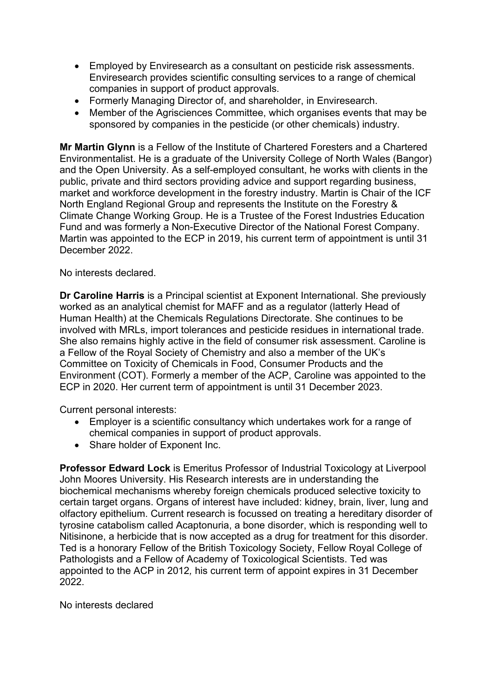- Employed by Enviresearch as a consultant on pesticide risk assessments. Enviresearch provides scientific consulting services to a range of chemical companies in support of product approvals.
- Formerly Managing Director of, and shareholder, in Enviresearch.
- Member of the Agrisciences Committee, which organises events that may be sponsored by companies in the pesticide (or other chemicals) industry.

**Mr Martin Glynn** is a Fellow of the Institute of Chartered Foresters and a Chartered Environmentalist. He is a graduate of the University College of North Wales (Bangor) and the Open University. As a self-employed consultant, he works with clients in the public, private and third sectors providing advice and support regarding business, market and workforce development in the forestry industry. Martin is Chair of the ICF North England Regional Group and represents the Institute on the Forestry & Climate Change Working Group. He is a Trustee of the Forest Industries Education Fund and was formerly a Non-Executive Director of the National Forest Company. Martin was appointed to the ECP in 2019, his current term of appointment is until 31 December 2022.

No interests declared.

**Dr Caroline Harris** is a Principal scientist at Exponent International. She previously worked as an analytical chemist for MAFF and as a regulator (latterly Head of Human Health) at the Chemicals Regulations Directorate. She continues to be involved with MRLs, import tolerances and pesticide residues in international trade. She also remains highly active in the field of consumer risk assessment. Caroline is a Fellow of the Royal Society of Chemistry and also a member of the UK's Committee on Toxicity of Chemicals in Food, Consumer Products and the Environment (COT). Formerly a member of the ACP, Caroline was appointed to the ECP in 2020. Her current term of appointment is until 31 December 2023.

Current personal interests:

- Employer is a scientific consultancy which undertakes work for a range of chemical companies in support of product approvals.
- Share holder of Exponent Inc.

**Professor Edward Lock** is Emeritus Professor of Industrial Toxicology at Liverpool John Moores University. His Research interests are in understanding the biochemical mechanisms whereby foreign chemicals produced selective toxicity to certain target organs. Organs of interest have included: kidney, brain, liver, lung and olfactory epithelium. Current research is focussed on treating a hereditary disorder of tyrosine catabolism called Acaptonuria, a bone disorder, which is responding well to Nitisinone, a herbicide that is now accepted as a drug for treatment for this disorder. Ted is a honorary Fellow of the British Toxicology Society, Fellow Royal College of Pathologists and a Fellow of Academy of Toxicological Scientists. Ted was appointed to the ACP in 2012*,* his current term of appoint expires in 31 December 2022.

No interests declared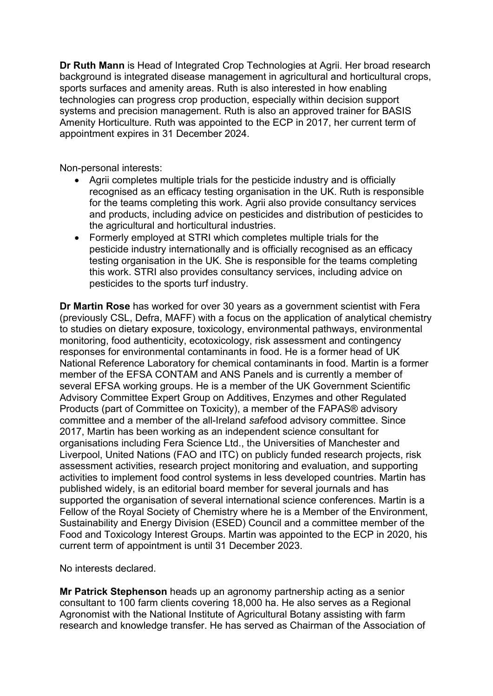**Dr Ruth Mann** is Head of Integrated Crop Technologies at Agrii. Her broad research background is integrated disease management in agricultural and horticultural crops, sports surfaces and amenity areas. Ruth is also interested in how enabling technologies can progress crop production, especially within decision support systems and precision management. Ruth is also an approved trainer for BASIS Amenity Horticulture. Ruth was appointed to the ECP in 2017, her current term of appointment expires in 31 December 2024.

Non-personal interests:

- Agrii completes multiple trials for the pesticide industry and is officially recognised as an efficacy testing organisation in the UK. Ruth is responsible for the teams completing this work. Agrii also provide consultancy services and products, including advice on pesticides and distribution of pesticides to the agricultural and horticultural industries.
- Formerly employed at STRI which completes multiple trials for the pesticide industry internationally and is officially recognised as an efficacy testing organisation in the UK. She is responsible for the teams completing this work. STRI also provides consultancy services, including advice on pesticides to the sports turf industry.

**Dr Martin Rose** has worked for over 30 years as a government scientist with Fera (previously CSL, Defra, MAFF) with a focus on the application of analytical chemistry to studies on dietary exposure, toxicology, environmental pathways, environmental monitoring, food authenticity, ecotoxicology, risk assessment and contingency responses for environmental contaminants in food. He is a former head of UK National Reference Laboratory for chemical contaminants in food. Martin is a former member of the EFSA CONTAM and ANS Panels and is currently a member of several EFSA working groups. He is a member of the UK Government Scientific Advisory Committee Expert Group on Additives, Enzymes and other Regulated Products (part of Committee on Toxicity), a member of the FAPAS® advisory committee and a member of the all-Ireland *safe*food advisory committee. Since 2017, Martin has been working as an independent science consultant for organisations including Fera Science Ltd., the Universities of Manchester and Liverpool, United Nations (FAO and ITC) on publicly funded research projects, risk assessment activities, research project monitoring and evaluation, and supporting activities to implement food control systems in less developed countries. Martin has published widely, is an editorial board member for several journals and has supported the organisation of several international science conferences. Martin is a Fellow of the Royal Society of Chemistry where he is a Member of the Environment, Sustainability and Energy Division (ESED) Council and a committee member of the Food and Toxicology Interest Groups. Martin was appointed to the ECP in 2020, his current term of appointment is until 31 December 2023.

No interests declared.

**Mr Patrick Stephenson** heads up an agronomy partnership acting as a senior consultant to 100 farm clients covering 18,000 ha. He also serves as a Regional Agronomist with the National Institute of Agricultural Botany assisting with farm research and knowledge transfer. He has served as Chairman of the Association of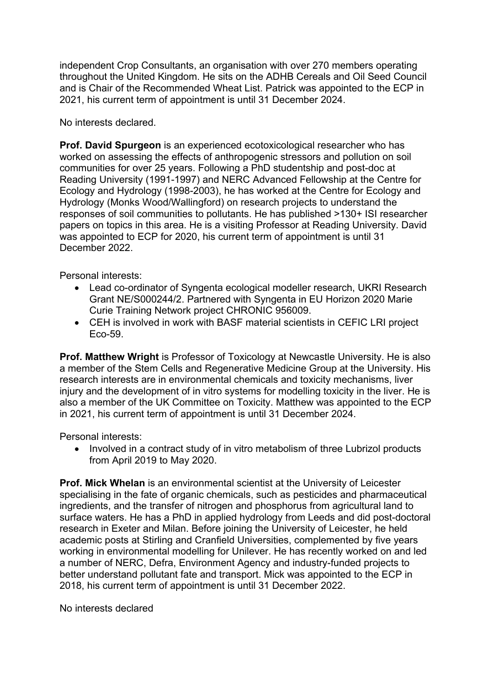independent Crop Consultants, an organisation with over 270 members operating throughout the United Kingdom. He sits on the ADHB Cereals and Oil Seed Council and is Chair of the Recommended Wheat List. Patrick was appointed to the ECP in 2021, his current term of appointment is until 31 December 2024.

No interests declared.

**Prof. David Spurgeon** is an experienced ecotoxicological researcher who has worked on assessing the effects of anthropogenic stressors and pollution on soil communities for over 25 years. Following a PhD studentship and post-doc at Reading University (1991-1997) and NERC Advanced Fellowship at the Centre for Ecology and Hydrology (1998-2003), he has worked at the Centre for Ecology and Hydrology (Monks Wood/Wallingford) on research projects to understand the responses of soil communities to pollutants. He has published >130+ ISI researcher papers on topics in this area. He is a visiting Professor at Reading University. David was appointed to ECP for 2020, his current term of appointment is until 31 December 2022.

Personal interests:

- Lead co-ordinator of Syngenta ecological modeller research, UKRI Research Grant NE/S000244/2. Partnered with Syngenta in EU Horizon 2020 Marie Curie Training Network project CHRONIC 956009.
- CEH is involved in work with BASF material scientists in CEFIC LRI project Eco-59.

**Prof. Matthew Wright** is Professor of Toxicology at Newcastle University. He is also a member of the Stem Cells and Regenerative Medicine Group at the University. His research interests are in environmental chemicals and toxicity mechanisms, liver injury and the development of in vitro systems for modelling toxicity in the liver. He is also a member of the UK Committee on Toxicity. Matthew was appointed to the ECP in 2021, his current term of appointment is until 31 December 2024.

Personal interests:

• Involved in a contract study of in vitro metabolism of three Lubrizol products from April 2019 to May 2020.

**Prof. Mick Whelan** is an environmental scientist at the University of Leicester specialising in the fate of organic chemicals, such as pesticides and pharmaceutical ingredients, and the transfer of nitrogen and phosphorus from agricultural land to surface waters. He has a PhD in applied hydrology from Leeds and did post-doctoral research in Exeter and Milan. Before joining the University of Leicester, he held academic posts at Stirling and Cranfield Universities, complemented by five years working in environmental modelling for Unilever. He has recently worked on and led a number of NERC, Defra, Environment Agency and industry-funded projects to better understand pollutant fate and transport. Mick was appointed to the ECP in 2018, his current term of appointment is until 31 December 2022.

No interests declared